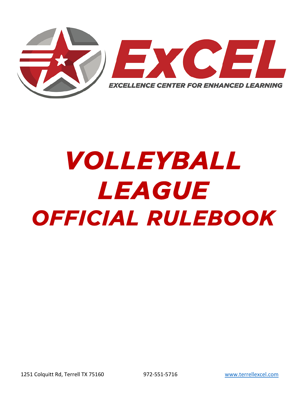

# VOLLEYBALL LEAGUE OFFICIAL RULEBOOK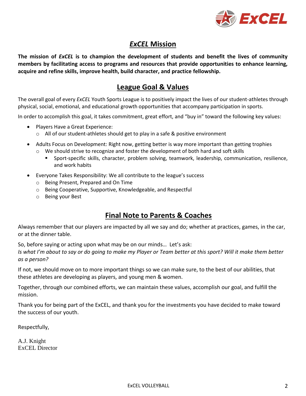

# *ExCEL* **Mission**

**The mission of** *ExCEL* **is to champion the development of students and benefit the lives of community members by facilitating access to programs and resources that provide opportunities to enhance learning, acquire and refine skills, improve health, build character, and practice fellowship.**

# **League Goal & Values**

The overall goal of every *ExCEL* Youth Sports League is to positively impact the lives of our student-athletes through physical, social, emotional, and educational growth opportunities that accompany participation in sports.

In order to accomplish this goal, it takes commitment, great effort, and "buy in" toward the following key values:

- Players Have a Great Experience:
	- $\circ$  All of our student-athletes should get to play in a safe & positive environment
- Adults Focus on Development: Right now, getting better is way more important than getting trophies
	- $\circ$  We should strive to recognize and foster the development of both hard and soft skills
		- Sport-specific skills, character, problem solving, teamwork, leadership, communication, resilience, and work habits
- Everyone Takes Responsibility: We all contribute to the league's success
	- o Being Present, Prepared and On Time
	- o Being Cooperative, Supportive, Knowledgeable, and Respectful
	- o Being your Best

# **Final Note to Parents & Coaches**

Always remember that our players are impacted by all we say and do; whether at practices, games, in the car, or at the dinner table.

So, before saying or acting upon what may be on our minds… Let's ask:

*Is what I'm about to say or do going to make my Player or Team better at this sport? Will it make them better as a person?*

If not, we should move on to more important things so we can make sure, to the best of our abilities, that these athletes are developing as players, and young men & women.

Together, through our combined efforts, we can maintain these values, accomplish our goal, and fulfill the mission.

Thank you for being part of the ExCEL, and thank you for the investments you have decided to make toward the success of our youth.

Respectfully,

A.J. Knight ExCEL Director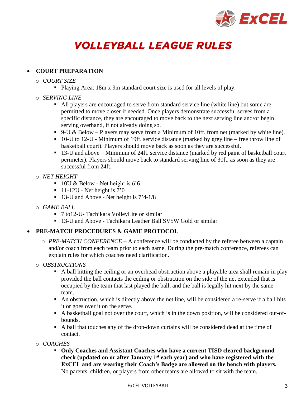

# **VOLLEYBALL LEAGUE RULES**

# • **COURT PREPARATION**

- o *COURT SIZE*
	- Playing Area: 18m x 9m standard court size is used for all levels of play.
- o *SERVING LINE*
	- All players are encouraged to serve from standard service line (white line) but some are permitted to move closer if needed. Once players demonstrate successful serves from a specific distance, they are encouraged to move back to the next serving line and/or begin serving overhand, if not already doing so.
	- $\bullet$  9-U & Below Players may serve from a Minimum of 10ft. from net (marked by white line).
	- 10-U to 12-U Minimum of 19ft. service distance (marked by grey line free throw line of basketball court). Players should move back as soon as they are successful.
	- 13-U and above Minimum of 24ft. service distance (marked by red paint of basketball court perimeter). Players should move back to standard serving line of 30ft. as soon as they are successful from 24ft.
- o *NET HEIGHT* 
	- $\blacksquare$  10U & Below Net height is 6'6
	- $\blacksquare$  11-12U Net height is 7'0
	- 13-U and Above Net height is  $7'4-1/8$
- o *GAME BALL* 
	- 7 to12-U- Tachikara VolleyLite or similar
	- 13-U and Above Tachikara Leather Ball SV5W Gold or similar

# • **PRE-MATCH PROCEDURES & GAME PROTOCOL**

- o *PRE-MATCH CONFERENCE* A conference will be conducted by the referee between a captain and/or coach from each team prior to each game. During the pre-match conference, referees can explain rules for which coaches need clarification.
- o *OBSTRUCTIONS*
	- A ball hitting the ceiling or an overhead obstruction above a playable area shall remain in play provided the ball contacts the ceiling or obstruction on the side of the net extended that is occupied by the team that last played the ball, and the ball is legally hit next by the same team.
	- An obstruction, which is directly above the net line, will be considered a re-serve if a ball hits it or goes over it on the serve.
	- A basketball goal not over the court, which is in the down position, will be considered out-ofbounds.
	- A ball that touches any of the drop-down curtains will be considered dead at the time of contact.
- o *COACHES*
	- **Only Coaches and Assistant Coaches who have a current TISD cleared background check (updated on or after January 1 st each year) and who have registered with the ExCEL and are wearing their Coach's Badge are allowed on the bench with players.** No parents, children, or players from other teams are allowed to sit with the team.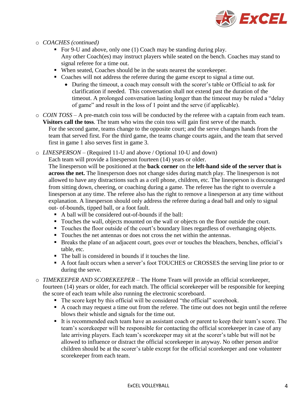

- o *COACHES (continued)*
	- For 9-U and above, only one (1) Coach may be standing during play. Any other Coach(es) may instruct players while seated on the bench. Coaches may stand to signal referee for a time out.
	- When seated, Coaches should be in the seats nearest the scorekeeper.
	- Coaches will not address the referee during the game except to signal a time out.
		- During the timeout, a coach may consult with the scorer's table or Official to ask for clarification if needed. This conversation shall not extend past the duration of the timeout. A prolonged conversation lasting longer than the timeout may be ruled a "delay of game" and result in the loss of 1 point and the serve (if applicable).
- o *COIN TOSS* A pre-match coin toss will be conducted by the referee with a captain from each team. **Visitors call the toss**. The team who wins the coin toss will gain first serve of the match. For the second game, teams change to the opposite court; and the serve changes hands from the team that served first. For the third game, the teams change courts again, and the team that served first in game 1 also serves first in game 3.
- o *LINESPERSON* (Required 11-U and above / Optional 10-U and down)

Each team will provide a linesperson fourteen (14) years or older.

The linesperson will be positioned at the **back corner** on the **left-hand side of the server that is across the net.** The linesperson does not change sides during match play. The linesperson is not allowed to have any distractions such as a cell phone, children, etc. The linesperson is discouraged from sitting down, cheering, or coaching during a game. The referee has the right to overrule a linesperson at any time. The referee also has the right to remove a linesperson at any time without explanation. A linesperson should only address the referee during a dead ball and only to signal out- of-bounds, tipped ball, or a foot fault.

- A ball will be considered out-of-bounds if the ball:
- Touches the wall, objects mounted on the wall or objects on the floor outside the court.
- Touches the floor outside of the court's boundary lines regardless of overhanging objects.
- Touches the net antennas or does not cross the net within the antennas.
- Breaks the plane of an adjacent court, goes over or touches the bleachers, benches, official's table, etc.
- The ball is considered in bounds if it touches the line.
- A foot fault occurs when a server's foot TOUCHES or CROSSES the serving line prior to or during the serve.
- o *TIMEKEEPER AND SCOREKEEPER* The Home Team will provide an official scorekeeper,

fourteen (14) years or older, for each match. The official scorekeeper will be responsible for keeping the score of each team while also running the electronic scoreboard.

- The score kept by this official will be considered "the official" scorebook.
- A coach may request a time out from the referee. The time out does not begin until the referee blows their whistle and signals for the time out.
- It is recommended each team have an assistant coach or parent to keep their team's score. The team's scorekeeper will be responsible for contacting the official scorekeeper in case of any late arriving players. Each team's scorekeeper may sit at the scorer's table but will not be allowed to influence or distract the official scorekeeper in anyway. No other person and/or children should be at the scorer's table except for the official scorekeeper and one volunteer scorekeeper from each team.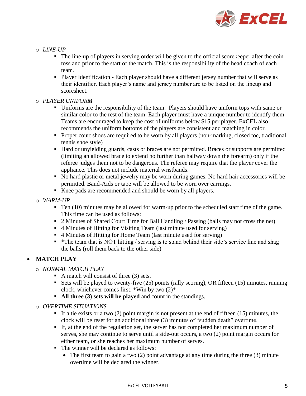

# o *LINE-UP*

- The line-up of players in serving order will be given to the official score keeper after the coin toss and prior to the start of the match. This is the responsibility of the head coach of each team.
- Player Identification Each player should have a different jersey number that will serve as their identifier. Each player's name and jersey number are to be listed on the lineup and scoresheet.

# o *PLAYER UNIFORM*

- Uniforms are the responsibility of the team. Players should have uniform tops with same or similar color to the rest of the team. Each player must have a unique number to identify them. Teams are encouraged to keep the cost of uniforms below \$15 per player. ExCEL also recommends the uniform bottoms of the players are consistent and matching in color.
- Proper court shoes are required to be worn by all players (non-marking, closed toe, traditional tennis shoe style)
- Hard or unyielding guards, casts or braces are not permitted. Braces or supports are permitted (limiting an allowed brace to extend no further than halfway down the forearm) only if the referee judges them not to be dangerous. The referee may require that the player cover the appliance. This does not include material wristbands.
- No hard plastic or metal jewelry may be worn during games. No hard hair accessories will be permitted. Band-Aids or tape will be allowed to be worn over earrings.
- Knee pads are recommended and should be worn by all players.
- o *WARM-UP*
	- Ten (10) minutes may be allowed for warm-up prior to the scheduled start time of the game. This time can be used as follows:
	- 2 Minutes of Shared Court Time for Ball Handling / Passing (balls may not cross the net)
	- 4 Minutes of Hitting for Visiting Team (last minute used for serving)
	- 4 Minutes of Hitting for Home Team (last minute used for serving)
	- \*The team that is NOT hitting / serving is to stand behind their side's service line and shag the balls (roll them back to the other side)

# • **MATCH PLAY**

- o *NORMAL MATCH PLAY*
	- $\blacksquare$  A match will consist of three (3) sets.
	- **Example 1** Sets will be played to twenty-five  $(25)$  points (rally scoring), OR fifteen  $(15)$  minutes, running clock, whichever comes first. \*Win by two (2)\*
	- **All three (3) sets will be played** and count in the standings.
- o *OVERTIME SITUATIONS*
	- $\blacksquare$  If a tie exists or a two (2) point margin is not present at the end of fifteen (15) minutes, the clock will be reset for an additional three (3) minutes of "sudden death" overtime.
	- If, at the end of the regulation set, the server has not completed her maximum number of serves, she may continue to serve until a side-out occurs, a two (2) point margin occurs for either team, or she reaches her maximum number of serves.
	- The winner will be declared as follows:
		- The first team to gain a two (2) point advantage at any time during the three (3) minute overtime will be declared the winner.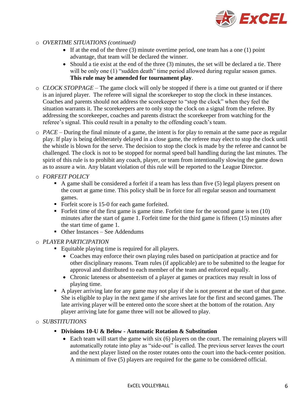

- o *OVERTIME SITUATIONS (continued)*
	- If at the end of the three  $(3)$  minute overtime period, one team has a one  $(1)$  point advantage, that team will be declared the winner.
	- Should a tie exist at the end of the three (3) minutes, the set will be declared a tie. There will be only one (1) "sudden death" time period allowed during regular season games. **This rule may be amended for tournament play**.
- o *CLOCK STOPPAGE* The game clock will only be stopped if there is a time out granted or if there is an injured player. The referee will signal the scorekeeper to stop the clock in these instances. Coaches and parents should not address the scorekeeper to "stop the clock" when they feel the situation warrants it. The scorekeepers are to only stop the clock on a signal from the referee. By addressing the scorekeeper, coaches and parents distract the scorekeeper from watching for the referee's signal. This could result in a penalty to the offending coach's team.
- o *PACE* During the final minute of a game, the intent is for play to remain at the same pace as regular play. If play is being deliberately delayed in a close game, the referee may elect to stop the clock until the whistle is blown for the serve. The decision to stop the clock is made by the referee and cannot be challenged. The clock is not to be stopped for normal speed ball handling during the last minutes. The spirit of this rule is to prohibit any coach, player, or team from intentionally slowing the game down as to assure a win. Any blatant violation of this rule will be reported to the League Director.
- o *FORFEIT POLICY*
	- A game shall be considered a forfeit if a team has less than five (5) legal players present on the court at game time. This policy shall be in force for all regular season and tournament games.
	- Forfeit score is 15-0 for each game forfeited.
	- Forfeit time of the first game is game time. Forfeit time for the second game is ten  $(10)$ minutes after the start of game 1. Forfeit time for the third game is fifteen (15) minutes after the start time of game 1.
	- Other Instances See Addendums

# o *PLAYER PARTICIPATION*

- Equitable playing time is required for all players.
	- Coaches may enforce their own playing rules based on participation at practice and for other disciplinary reasons. Team rules (if applicable) are to be submitted to the league for approval and distributed to each member of the team and enforced equally.
	- Chronic lateness or absenteeism of a player at games or practices may result in loss of playing time.
- A player arriving late for any game may not play if she is not present at the start of that game. She is eligible to play in the next game if she arrives late for the first and second games. The late arriving player will be entered onto the score sheet at the bottom of the rotation. Any player arriving late for game three will not be allowed to play.

# o *SUBSTITUTIONS*

- **Divisions 10-U & Below - Automatic Rotation & Substitution**
	- Each team will start the game with six (6) players on the court. The remaining players will automatically rotate into play as "side-out" is called. The previous server leaves the court and the next player listed on the roster rotates onto the court into the back-center position. A minimum of five (5) players are required for the game to be considered official.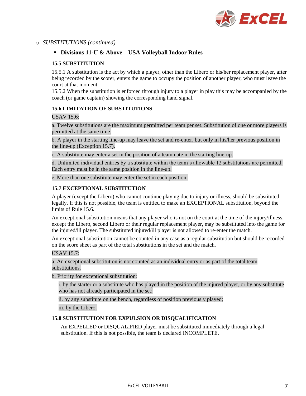

#### o *SUBSTITUTIONS (continued)*

#### ▪ **Divisions 11-U & Above – USA Volleyball Indoor Rules** –

#### **15.5 SUBSTITUTION**

15.5.1 A substitution is the act by which a player, other than the Libero or his/her replacement player, after being recorded by the scorer, enters the game to occupy the position of another player, who must leave the court at that moment.

15.5.2 When the substitution is enforced through injury to a player in play this may be accompanied by the coach (or game captain) showing the corresponding hand signal.

#### **15.6 LIMITATION OF SUBSTITUTIONS**

USAV 15.6:

a. Twelve substitutions are the maximum permitted per team per set. Substitution of one or more players is permitted at the same time.

b. A player in the starting line-up may leave the set and re-enter, but only in his/her previous position in the line-up (Exception 15.7).

c. A substitute may enter a set in the position of a teammate in the starting line-up.

d. Unlimited individual entries by a substitute within the team's allowable 12 substitutions are permitted. Each entry must be in the same position in the line-up.

e. More than one substitute may enter the set in each position.

#### **15.7 EXCEPTIONAL SUBSTITUTION**

A player (except the Libero) who cannot continue playing due to injury or illness, should be substituted legally. If this is not possible, the team is entitled to make an EXCEPTIONAL substitution, beyond the limits of Rule 15.6.

An exceptional substitution means that any player who is not on the court at the time of the injury/illness, except the Libero, second Libero or their regular replacement player, may be substituted into the game for the injured/ill player. The substituted injured/ill player is not allowed to re-enter the match.

An exceptional substitution cannot be counted in any case as a regular substitution but should be recorded on the score sheet as part of the total substitutions in the set and the match.

USAV 15.7:

a. An exceptional substitution is not counted as an individual entry or as part of the total team substitutions.

b. Priority for exceptional substitution:

i. by the starter or a substitute who has played in the position of the injured player, or by any substitute who has not already participated in the set;

ii. by any substitute on the bench, regardless of position previously played;

iii. by the Libero.

#### **15.8 SUBSTITUTION FOR EXPULSION OR DISQUALIFICATION**

An EXPELLED or DISQUALIFIED player must be substituted immediately through a legal substitution. If this is not possible, the team is declared INCOMPLETE.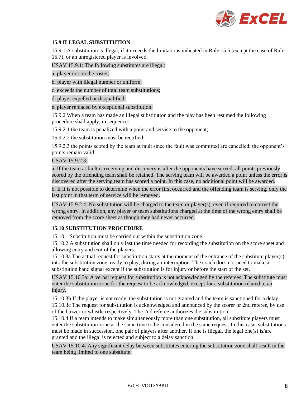

#### **15.9 ILLEGAL SUBSTITUTION**

15.9.1 A substitution is illegal, if it exceeds the limitations indicated in Rule 15.6 (except the case of Rule 15.7), or an unregistered player is involved.

USAV 15.9.1: The following substitutes are illegal:

a. player not on the roster;

b. player with illegal number or uniform;

c. exceeds the number of total team substitutions;

d. player expelled or disqualified;

e. player replaced by exceptional substitution.

15.9.2 When a team has made an illegal substitution and the play has been resumed the following procedure shall apply, in sequence:

15.9.2.1 the team is penalized with a point and service to the opponent;

15.9.2.2 the substitution must be rectified;

15.9.2.3 the points scored by the team at fault since the fault was committed are cancelled; the opponent's points remain valid.

#### USAV 15.9.2.3:

a. If the team at fault is receiving and discovery is after the opponents have served, all points previously scored by the offending team shall be retained. The serving team will be awarded a point unless the error is discovered after the serving team has scored a point. In this case, no additional point will be awarded.

b. If it is not possible to determine when the error first occurred and the offending team is serving, only the last point in that term of service will be removed.

USAV 15.9.2.4: No substitution will be charged to the team or player(s), even if required to correct the wrong entry. In addition, any player or team substitutions charged at the time of the wrong entry shall be removed from the score sheet as though they had never occurred.

#### **15.10 SUBSTITUTION PROCEDURE**

15.10.1 Substitution must be carried out within the substitution zone.

15.10.2 A substitution shall only last the time needed for recording the substitution on the score sheet and allowing entry and exit of the players.

15.10.3a The actual request for substitution starts at the moment of the entrance of the substitute player(s) into the substitution zone, ready to play, during an interruption. The coach does not need to make a substitution hand signal except if the substitution is for injury or before the start of the set.

USAV 15.10.3a: A verbal request for substitution is not acknowledged by the referees. The substitute must enter the substitution zone for the request to be acknowledged, except for a substitution related to an injury.

15.10.3b If the player is not ready, the substitution is not granted and the team is sanctioned for a delay.

15.10.3c The request for substitution is acknowledged and announced by the scorer or 2nd referee, by use of the buzzer or whistle respectively. The 2nd referee authorizes the substitution.

15.10.4 If a team intends to make simultaneously more than one substitution, all substitute players must enter the substitution zone at the same time to be considered in the same request. In this case, substitutions must be made in succession, one pair of players after another. If one is illegal, the legal one(s) is/are granted and the illegal is rejected and subject to a delay sanction.

USAV 15.10.4: Any significant delay between substitutes entering the substitution zone shall result in the team being limited to one substitute.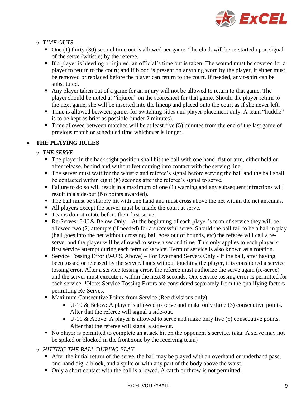

# o *TIME OUTS*

- $\blacksquare$  One (1) thirty (30) second time out is allowed per game. The clock will be re-started upon signal of the serve (whistle) by the referee.
- If a player is bleeding or injured, an official's time out is taken. The wound must be covered for a player to return to the court; and if blood is present on anything worn by the player, it either must be removed or replaced before the player can return to the court. If needed, any t-shirt can be substituted.
- Any player taken out of a game for an injury will not be allowed to return to that game. The player should be noted as "injured" on the scoresheet for that game. Should the player return to the next game, she will be inserted into the lineup and placed onto the court as if she never left.
- Time is allowed between games for switching sides and player placement only. A team "huddle" is to be kept as brief as possible (under 2 minutes).
- Time allowed between matches will be at least five (5) minutes from the end of the last game of previous match or scheduled time whichever is longer.

# • **THE PLAYING RULES**

- o *THE SERVE*
	- The player in the back-right position shall hit the ball with one hand, fist or arm, either held or after release, behind and without feet coming into contact with the serving line.
	- The server must wait for the whistle and referee's signal before serving the ball and the ball shall be contacted within eight (8) seconds after the referee's signal to serve.
	- Failure to do so will result in a maximum of one (1) warning and any subsequent infractions will result in a side-out (No points awarded).
	- The ball must be sharply hit with one hand and must cross above the net within the net antennas.
	- All players except the server must be inside the court at serve.
	- Teams do not rotate before their first serve.
	- **•** Re-Serves: 8-U & Below Only At the beginning of each player's term of service they will be allowed two (2) attempts (if needed) for a successful serve. Should the ball fail to be a ball in play (ball goes into the net without crossing, ball goes out of bounds, etc) the referee will call a reserve; and the player will be allowed to serve a second time. This only applies to each player's first service attempt during each term of service. Term of service is also known as a rotation.
	- **Example 1** Service Tossing Error (9-U & Above) For Overhand Servers Only If the ball, after having been tossed or released by the server, lands without touching the player, it is considered a service tossing error. After a service tossing error, the referee must authorize the serve again (re-serve) and the server must execute it within the next 8 seconds. One service tossing error is permitted for each service. \*Note: Service Tossing Errors are considered separately from the qualifying factors permitting Re-Serves.
	- Maximum Consecutive Points from Service (Rec divisions only)
		- U-10 & Below: A player is allowed to serve and make only three (3) consecutive points. After that the referee will signal a side-out.
		- U-11 & Above: A player is allowed to serve and make only five (5) consecutive points. After that the referee will signal a side-out.
	- No player is permitted to complete an attack hit on the opponent's service. (aka: A serve may not be spiked or blocked in the front zone by the receiving team)

# o *HITTING THE BALL DURING PLAY*

- After the initial return of the serve, the ball may be played with an overhand or underhand pass, one-hand dig, a block, and a spike or with any part of the body above the waist.
- Only a short contact with the ball is allowed. A catch or throw is not permitted.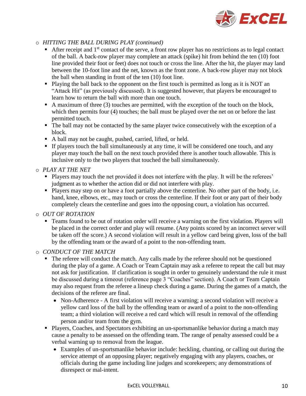

# o *HITTING THE BALL DURING PLAY (continued)*

- **EXECUTE:** After receipt and  $1<sup>st</sup>$  contact of the serve, a front row player has no restrictions as to legal contact of the ball. A back-row player may complete an attack (spike) hit from behind the ten (10) foot line provided their foot or feet) does not touch or cross the line. After the hit, the player may land between the 10-foot line and the net, known as the front zone. A back-row player may not block the ball when standing in front of the ten (10) foot line.
- Playing the ball back to the opponent on the first touch is permitted as long as it is NOT an "Attack Hit" (as previously discussed). It is suggested however, that players be encouraged to learn how to return the ball with more than one touch.
- A maximum of three (3) touches are permitted, with the exception of the touch on the block, which then permits four (4) touches; the ball must be played over the net on or before the last permitted touch.
- The ball may not be contacted by the same player twice consecutively with the exception of a block.
- A ball may not be caught, pushed, carried, lifted, or held.
- **.** If players touch the ball simultaneously at any time, it will be considered one touch, and any player may touch the ball on the next touch provided there is another touch allowable. This is inclusive only to the two players that touched the ball simultaneously.
- o *PLAY AT THE NET*
	- Players may touch the net provided it does not interfere with the play. It will be the referees' judgment as to whether the action did or did not interfere with play.
	- Players may step on or have a foot partially above the centerline. No other part of the body, i.e. hand, knee, elbows, etc., may touch or cross the centerline. If their foot or any part of their body completely clears the centerline and goes into the opposing court, a violation has occurred.
- o *OUT OF ROTATION* 
	- Teams found to be out of rotation order will receive a warning on the first violation. Players will be placed in the correct order and play will resume. (Any points scored by an incorrect server will be taken off the score.) A second violation will result in a yellow card being given, loss of the ball by the offending team or the award of a point to the non-offending team.

o *CONDUCT OF THE MATCH*

- The referee will conduct the match. Any calls made by the referee should not be questioned during the play of a game. A Coach or Team Captain may ask a referee to repeat the call but may not ask for justification. If clarification is sought in order to genuinely understand the rule it must be discussed during a timeout (reference page 3 "Coaches" section). A Coach or Team Captain may also request from the referee a lineup check during a game. During the games of a match, the decisions of the referee are final.
	- Non-Adherence A first violation will receive a warning; a second violation will receive a yellow card loss of the ball by the offending team or award of a point to the non-offending team; a third violation will receive a red card which will result in removal of the offending person and/or team from the gym.
- **Players, Coaches, and Spectators exhibiting an un-sportsmanlike behavior during a match may** cause a penalty to be assessed on the offending team. The range of penalty assessed could be a verbal warning up to removal from the league.
	- Examples of un-sportsmanlike behavior include: heckling, chanting, or calling out during the service attempt of an opposing player; negatively engaging with any players, coaches, or officials during the game including line judges and scorekeepers; any demonstrations of disrespect or mal-intent.